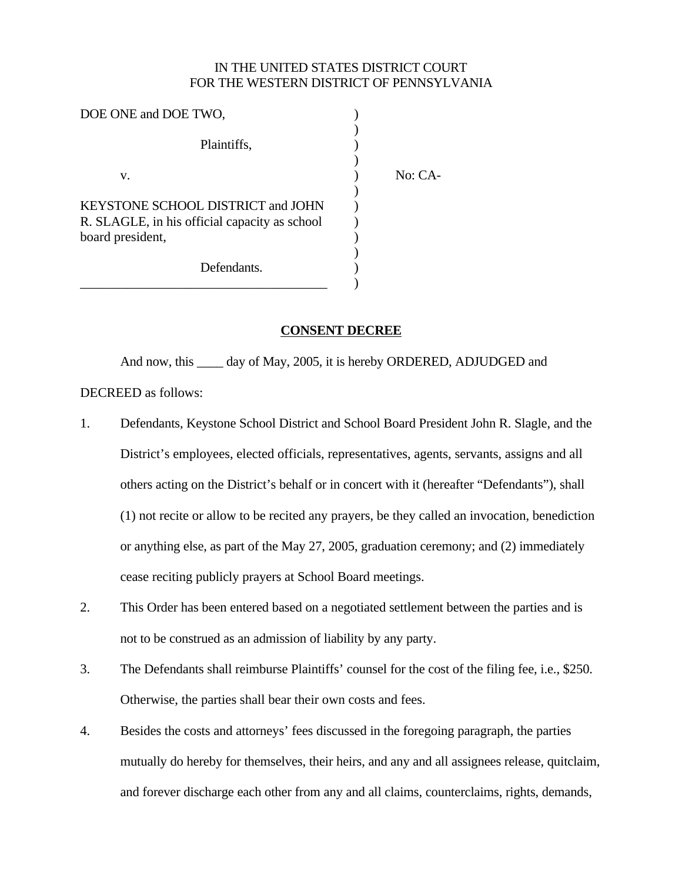## IN THE UNITED STATES DISTRICT COURT FOR THE WESTERN DISTRICT OF PENNSYLVANIA

No: CA-

| DOE ONE and DOE TWO,                          |  |
|-----------------------------------------------|--|
|                                               |  |
| Plaintiffs,                                   |  |
|                                               |  |
| v.                                            |  |
|                                               |  |
| KEYSTONE SCHOOL DISTRICT and JOHN             |  |
| R. SLAGLE, in his official capacity as school |  |
| board president,                              |  |
|                                               |  |
| Defendants.                                   |  |
|                                               |  |

## **CONSENT DECREE**

And now, this \_\_\_\_ day of May, 2005, it is hereby ORDERED, ADJUDGED and DECREED as follows:

- 1. Defendants, Keystone School District and School Board President John R. Slagle, and the District's employees, elected officials, representatives, agents, servants, assigns and all others acting on the District's behalf or in concert with it (hereafter "Defendants"), shall (1) not recite or allow to be recited any prayers, be they called an invocation, benediction or anything else, as part of the May 27, 2005, graduation ceremony; and (2) immediately cease reciting publicly prayers at School Board meetings.
- 2. This Order has been entered based on a negotiated settlement between the parties and is not to be construed as an admission of liability by any party.
- 3. The Defendants shall reimburse Plaintiffs' counsel for the cost of the filing fee, i.e., \$250. Otherwise, the parties shall bear their own costs and fees.
- 4. Besides the costs and attorneys' fees discussed in the foregoing paragraph, the parties mutually do hereby for themselves, their heirs, and any and all assignees release, quitclaim, and forever discharge each other from any and all claims, counterclaims, rights, demands,